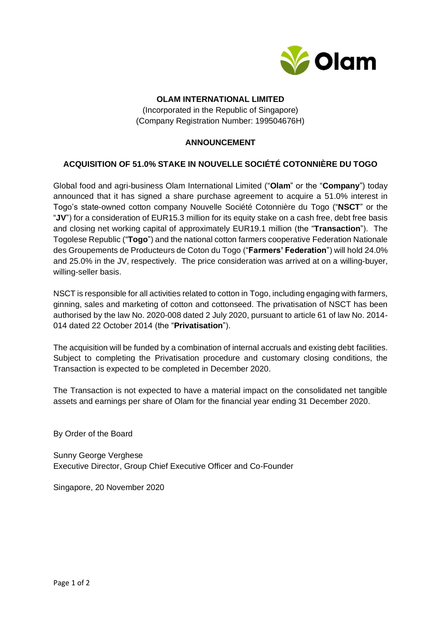

## **OLAM INTERNATIONAL LIMITED**

(Incorporated in the Republic of Singapore) (Company Registration Number: 199504676H)

## **ANNOUNCEMENT**

## **ACQUISITION OF 51.0% STAKE IN NOUVELLE SOCIÉTÉ COTONNIÈRE DU TOGO**

Global food and agri-business Olam International Limited ("**Olam**" or the "**Company**") today announced that it has signed a share purchase agreement to acquire a 51.0% interest in Togo's state-owned cotton company Nouvelle Société Cotonnière du Togo ("**NSCT**" or the "**JV**") for a consideration of EUR15.3 million for its equity stake on a cash free, debt free basis and closing net working capital of approximately EUR19.1 million (the "**Transaction**"). The Togolese Republic ("**Togo**") and the national cotton farmers cooperative Federation Nationale des Groupements de Producteurs de Coton du Togo ("**Farmers' Federation**") will hold 24.0% and 25.0% in the JV, respectively. The price consideration was arrived at on a willing-buyer, willing-seller basis.

NSCT is responsible for all activities related to cotton in Togo, including engaging with farmers, ginning, sales and marketing of cotton and cottonseed. The privatisation of NSCT has been authorised by the law No. 2020-008 dated 2 July 2020, pursuant to article 61 of law No. 2014- 014 dated 22 October 2014 (the "**Privatisation**").

The acquisition will be funded by a combination of internal accruals and existing debt facilities. Subject to completing the Privatisation procedure and customary closing conditions, the Transaction is expected to be completed in December 2020.

The Transaction is not expected to have a material impact on the consolidated net tangible assets and earnings per share of Olam for the financial year ending 31 December 2020.

By Order of the Board

Sunny George Verghese Executive Director, Group Chief Executive Officer and Co-Founder

Singapore, 20 November 2020